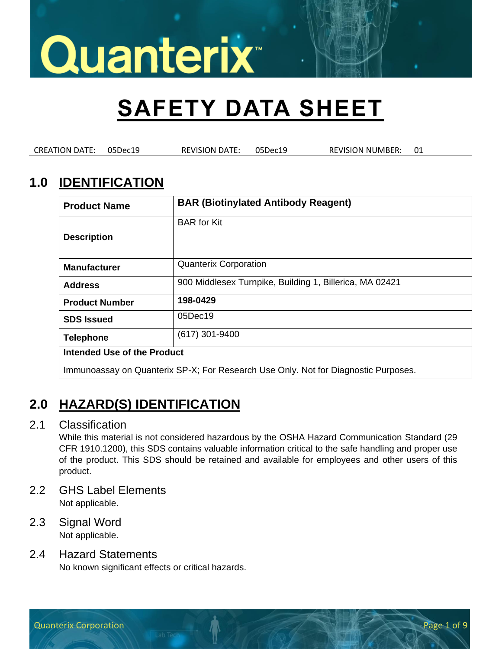## **SAFETY DATA SHEET**

CREATION DATE: 05Dec19 REVISION DATE: 05Dec19 REVISION NUMBER: 01

### **1.0 IDENTIFICATION**

| <b>Product Name</b>                                                                | <b>BAR (Biotinylated Antibody Reagent)</b>              |  |
|------------------------------------------------------------------------------------|---------------------------------------------------------|--|
| <b>Description</b>                                                                 | <b>BAR</b> for Kit                                      |  |
| <b>Manufacturer</b>                                                                | <b>Quanterix Corporation</b>                            |  |
| <b>Address</b>                                                                     | 900 Middlesex Turnpike, Building 1, Billerica, MA 02421 |  |
| <b>Product Number</b>                                                              | 198-0429                                                |  |
| <b>SDS Issued</b>                                                                  | 05Dec19                                                 |  |
| <b>Telephone</b>                                                                   | (617) 301-9400                                          |  |
| Intended Use of the Product                                                        |                                                         |  |
| Immunoassay on Quanterix SP-X; For Research Use Only. Not for Diagnostic Purposes. |                                                         |  |

## **2.0 HAZARD(S) IDENTIFICATION**

#### 2.1 Classification

While this material is not considered hazardous by the OSHA Hazard Communication Standard (29 CFR 1910.1200), this SDS contains valuable information critical to the safe handling and proper use of the product. This SDS should be retained and available for employees and other users of this product.

- 2.2 GHS Label Elements Not applicable.
- 2.3 Signal Word Not applicable.

#### 2.4 Hazard Statements

No known significant effects or critical hazards.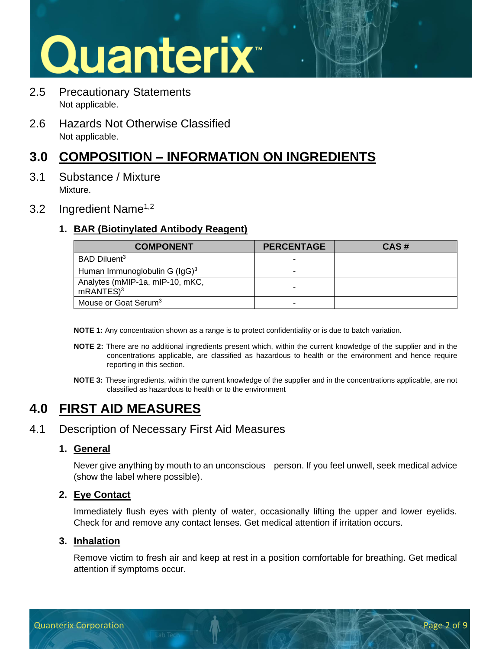- 2.5 Precautionary Statements Not applicable.
- 2.6 Hazards Not Otherwise Classified Not applicable.

### **3.0 COMPOSITION – INFORMATION ON INGREDIENTS**

- 3.1 Substance / Mixture Mixture.
- 3.2 Ingredient Name<sup>1,2</sup>

#### **1. BAR (Biotinylated Antibody Reagent)**

| <b>COMPONENT</b>                                    | <b>PERCENTAGE</b> | CAS# |
|-----------------------------------------------------|-------------------|------|
| BAD Diluent <sup>3</sup>                            |                   |      |
| Human Immunoglobulin G (IgG) <sup>3</sup>           |                   |      |
| Analytes (mMIP-1a, mIP-10, mKC,<br>$m$ RANTES $)^3$ |                   |      |
| Mouse or Goat Serum <sup>3</sup>                    |                   |      |

**NOTE 1:** Any concentration shown as a range is to protect confidentiality or is due to batch variation.

- **NOTE 2:** There are no additional ingredients present which, within the current knowledge of the supplier and in the concentrations applicable, are classified as hazardous to health or the environment and hence require reporting in this section.
- **NOTE 3:** These ingredients, within the current knowledge of the supplier and in the concentrations applicable, are not classified as hazardous to health or to the environment

## **4.0 FIRST AID MEASURES**

#### 4.1 Description of Necessary First Aid Measures

#### **1. General**

Never give anything by mouth to an unconscious person. If you feel unwell, seek medical advice (show the label where possible).

#### **2. Eye Contact**

Immediately flush eyes with plenty of water, occasionally lifting the upper and lower eyelids. Check for and remove any contact lenses. Get medical attention if irritation occurs.

#### **3. Inhalation**

Remove victim to fresh air and keep at rest in a position comfortable for breathing. Get medical attention if symptoms occur.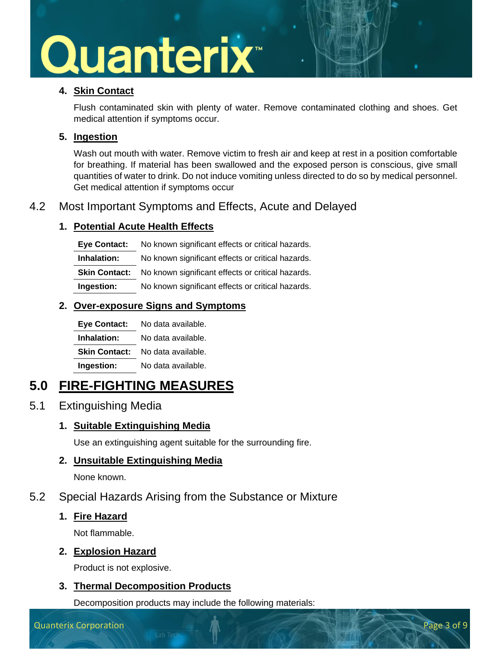#### **4. Skin Contact**

Flush contaminated skin with plenty of water. Remove contaminated clothing and shoes. Get medical attention if symptoms occur.

#### **5. Ingestion**

Wash out mouth with water. Remove victim to fresh air and keep at rest in a position comfortable for breathing. If material has been swallowed and the exposed person is conscious, give small quantities of water to drink. Do not induce vomiting unless directed to do so by medical personnel. Get medical attention if symptoms occur

#### 4.2 Most Important Symptoms and Effects, Acute and Delayed

#### **1. Potential Acute Health Effects**

**Eye Contact:** No known significant effects or critical hazards. **Inhalation:** No known significant effects or critical hazards. **Skin Contact:** No known significant effects or critical hazards. **Ingestion:** No known significant effects or critical hazards.

#### **2. Over-exposure Signs and Symptoms**

| <b>Eye Contact:</b>  | No data available. |
|----------------------|--------------------|
| Inhalation:          | No data available. |
| <b>Skin Contact:</b> | No data available. |
| Ingestion:           | No data available. |

## **5.0 FIRE-FIGHTING MEASURES**

#### 5.1 Extinguishing Media

#### **1. Suitable Extinguishing Media**

Use an extinguishing agent suitable for the surrounding fire.

#### **2. Unsuitable Extinguishing Media**

None known.

#### 5.2 Special Hazards Arising from the Substance or Mixture

#### **1. Fire Hazard**

Not flammable.

#### **2. Explosion Hazard**

Product is not explosive.

#### **3. Thermal Decomposition Products**

Decomposition products may include the following materials: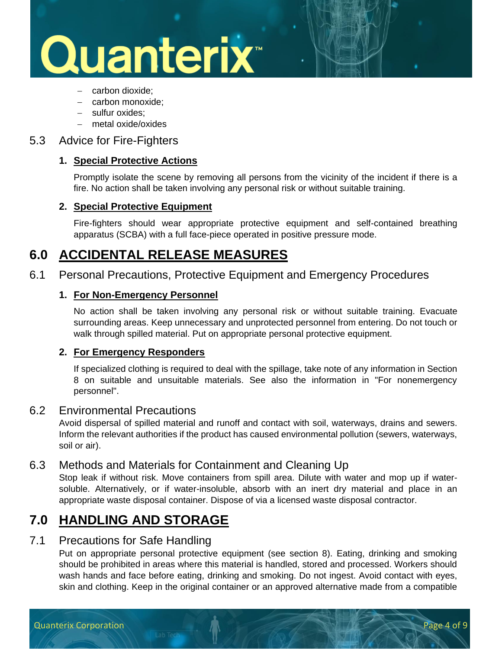## Quanterix<sup>®</sup>

- − carbon dioxide;
- − carbon monoxide;
- − sulfur oxides;
- − metal oxide/oxides

#### 5.3 Advice for Fire-Fighters

#### **1. Special Protective Actions**

Promptly isolate the scene by removing all persons from the vicinity of the incident if there is a fire. No action shall be taken involving any personal risk or without suitable training.

#### **2. Special Protective Equipment**

Fire-fighters should wear appropriate protective equipment and self-contained breathing apparatus (SCBA) with a full face-piece operated in positive pressure mode.

### **6.0 ACCIDENTAL RELEASE MEASURES**

6.1 Personal Precautions, Protective Equipment and Emergency Procedures

#### **1. For Non-Emergency Personnel**

No action shall be taken involving any personal risk or without suitable training. Evacuate surrounding areas. Keep unnecessary and unprotected personnel from entering. Do not touch or walk through spilled material. Put on appropriate personal protective equipment.

#### **2. For Emergency Responders**

If specialized clothing is required to deal with the spillage, take note of any information in Section 8 on suitable and unsuitable materials. See also the information in "For nonemergency personnel".

#### 6.2 Environmental Precautions

Avoid dispersal of spilled material and runoff and contact with soil, waterways, drains and sewers. Inform the relevant authorities if the product has caused environmental pollution (sewers, waterways, soil or air).

#### 6.3 Methods and Materials for Containment and Cleaning Up

Stop leak if without risk. Move containers from spill area. Dilute with water and mop up if watersoluble. Alternatively, or if water-insoluble, absorb with an inert dry material and place in an appropriate waste disposal container. Dispose of via a licensed waste disposal contractor.

### **7.0 HANDLING AND STORAGE**

#### 7.1 Precautions for Safe Handling

Put on appropriate personal protective equipment (see section 8). Eating, drinking and smoking should be prohibited in areas where this material is handled, stored and processed. Workers should wash hands and face before eating, drinking and smoking. Do not ingest. Avoid contact with eyes, skin and clothing. Keep in the original container or an approved alternative made from a compatible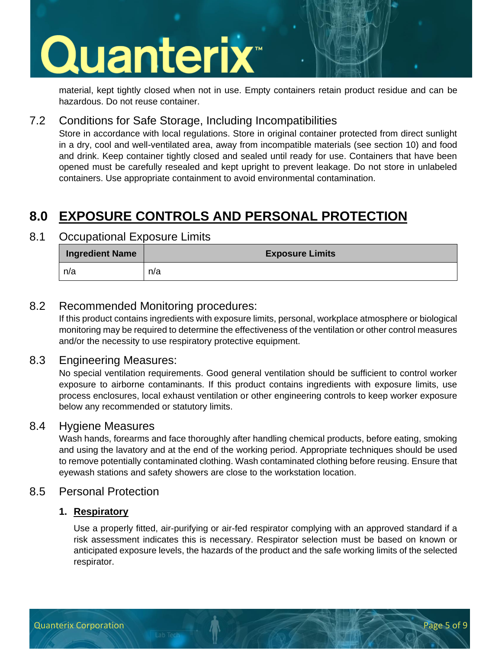## Quanterix<sup>®</sup>

material, kept tightly closed when not in use. Empty containers retain product residue and can be hazardous. Do not reuse container.

#### 7.2 Conditions for Safe Storage, Including Incompatibilities

Store in accordance with local regulations. Store in original container protected from direct sunlight in a dry, cool and well-ventilated area, away from incompatible materials (see section 10) and food and drink. Keep container tightly closed and sealed until ready for use. Containers that have been opened must be carefully resealed and kept upright to prevent leakage. Do not store in unlabeled containers. Use appropriate containment to avoid environmental contamination.

### **8.0 EXPOSURE CONTROLS AND PERSONAL PROTECTION**

#### 8.1 Occupational Exposure Limits

| <b>Ingredient Name</b> | <b>Exposure Limits</b> |
|------------------------|------------------------|
| n/a                    | n/a                    |

#### 8.2 Recommended Monitoring procedures:

If this product contains ingredients with exposure limits, personal, workplace atmosphere or biological monitoring may be required to determine the effectiveness of the ventilation or other control measures and/or the necessity to use respiratory protective equipment.

#### 8.3 Engineering Measures:

No special ventilation requirements. Good general ventilation should be sufficient to control worker exposure to airborne contaminants. If this product contains ingredients with exposure limits, use process enclosures, local exhaust ventilation or other engineering controls to keep worker exposure below any recommended or statutory limits.

#### 8.4 Hygiene Measures

Wash hands, forearms and face thoroughly after handling chemical products, before eating, smoking and using the lavatory and at the end of the working period. Appropriate techniques should be used to remove potentially contaminated clothing. Wash contaminated clothing before reusing. Ensure that eyewash stations and safety showers are close to the workstation location.

#### 8.5 Personal Protection

#### **1. Respiratory**

Use a properly fitted, air-purifying or air-fed respirator complying with an approved standard if a risk assessment indicates this is necessary. Respirator selection must be based on known or anticipated exposure levels, the hazards of the product and the safe working limits of the selected respirator.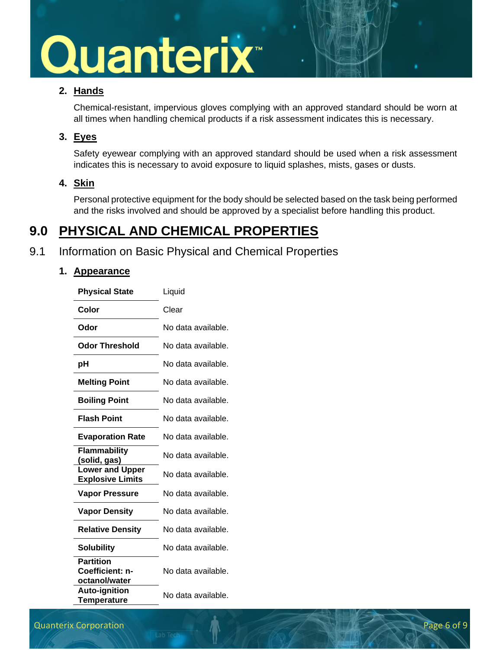#### **2. Hands**

Chemical-resistant, impervious gloves complying with an approved standard should be worn at all times when handling chemical products if a risk assessment indicates this is necessary.

#### **3. Eyes**

Safety eyewear complying with an approved standard should be used when a risk assessment indicates this is necessary to avoid exposure to liquid splashes, mists, gases or dusts.

#### **4. Skin**

Personal protective equipment for the body should be selected based on the task being performed and the risks involved and should be approved by a specialist before handling this product.

### **9.0 PHYSICAL AND CHEMICAL PROPERTIES**

### 9.1 Information on Basic Physical and Chemical Properties

#### **1. Appearance**

| <b>Physical State</b>                                | Liquid             |
|------------------------------------------------------|--------------------|
| Color                                                | Clear              |
| Odor                                                 | No data available. |
| <b>Odor Threshold</b>                                | No data available. |
| pH                                                   | No data available. |
| <b>Melting Point</b>                                 | No data available. |
| <b>Boiling Point</b>                                 | No data available. |
| <b>Flash Point</b>                                   | No data available. |
| <b>Evaporation Rate</b>                              | No data available. |
| <b>Flammability</b><br>(solid, gas)                  | No data available. |
| <b>Lower and Upper</b><br><b>Explosive Limits</b>    | No data available. |
| <b>Vapor Pressure</b>                                | No data available. |
| <b>Vapor Density</b>                                 | No data available. |
| <b>Relative Density</b>                              | No data available. |
| <b>Solubility</b>                                    | No data available. |
| <b>Partition</b><br>Coefficient: n-<br>octanol/water | No data available. |
| <b>Auto-ignition</b><br><b>Temperature</b>           | No data available. |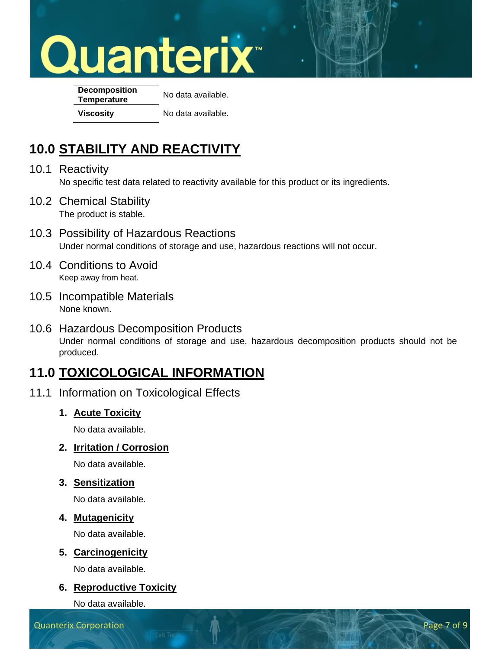**Decomposition Temperature** No data available. **Viscosity** No data available.

## **10.0 STABILITY AND REACTIVITY**

- 10.1 Reactivity No specific test data related to reactivity available for this product or its ingredients.
- 10.2 Chemical Stability The product is stable.
- 10.3 Possibility of Hazardous Reactions Under normal conditions of storage and use, hazardous reactions will not occur.
- 10.4 Conditions to Avoid Keep away from heat.
- 10.5 Incompatible Materials None known.
- 10.6 Hazardous Decomposition Products Under normal conditions of storage and use, hazardous decomposition products should not be produced.

## **11.0 TOXICOLOGICAL INFORMATION**

- 11.1 Information on Toxicological Effects
	- **1. Acute Toxicity**

No data available.

**2. Irritation / Corrosion**

No data available.

**3. Sensitization**

No data available.

#### **4. Mutagenicity**

No data available.

#### **5. Carcinogenicity**

No data available.

#### **6. Reproductive Toxicity**

No data available.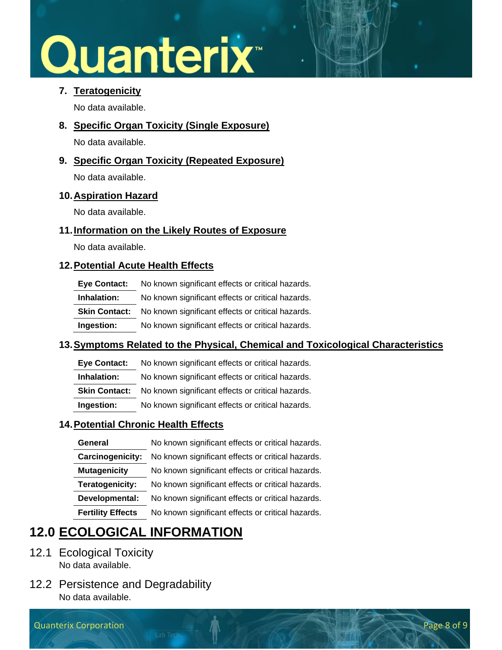#### **7. Teratogenicity**

No data available.

**8. Specific Organ Toxicity (Single Exposure)**

No data available.

**9. Specific Organ Toxicity (Repeated Exposure)**

No data available.

#### **10.Aspiration Hazard**

No data available.

#### **11.Information on the Likely Routes of Exposure**

No data available.

#### **12.Potential Acute Health Effects**

| Eye Contact:         | No known significant effects or critical hazards. |
|----------------------|---------------------------------------------------|
| Inhalation:          | No known significant effects or critical hazards. |
| <b>Skin Contact:</b> | No known significant effects or critical hazards. |
| Ingestion:           | No known significant effects or critical hazards. |

#### **13.Symptoms Related to the Physical, Chemical and Toxicological Characteristics**

**Eye Contact:** No known significant effects or critical hazards.

**Inhalation:** No known significant effects or critical hazards.

**Skin Contact:** No known significant effects or critical hazards.

**Ingestion:** No known significant effects or critical hazards.

#### **14.Potential Chronic Health Effects**

| No known significant effects or critical hazards. |
|---------------------------------------------------|
| No known significant effects or critical hazards. |
| No known significant effects or critical hazards. |
| No known significant effects or critical hazards. |
| No known significant effects or critical hazards. |
| No known significant effects or critical hazards. |
|                                                   |

## **12.0 ECOLOGICAL INFORMATION**

- 12.1 Ecological Toxicity No data available.
- 12.2 Persistence and Degradability No data available.